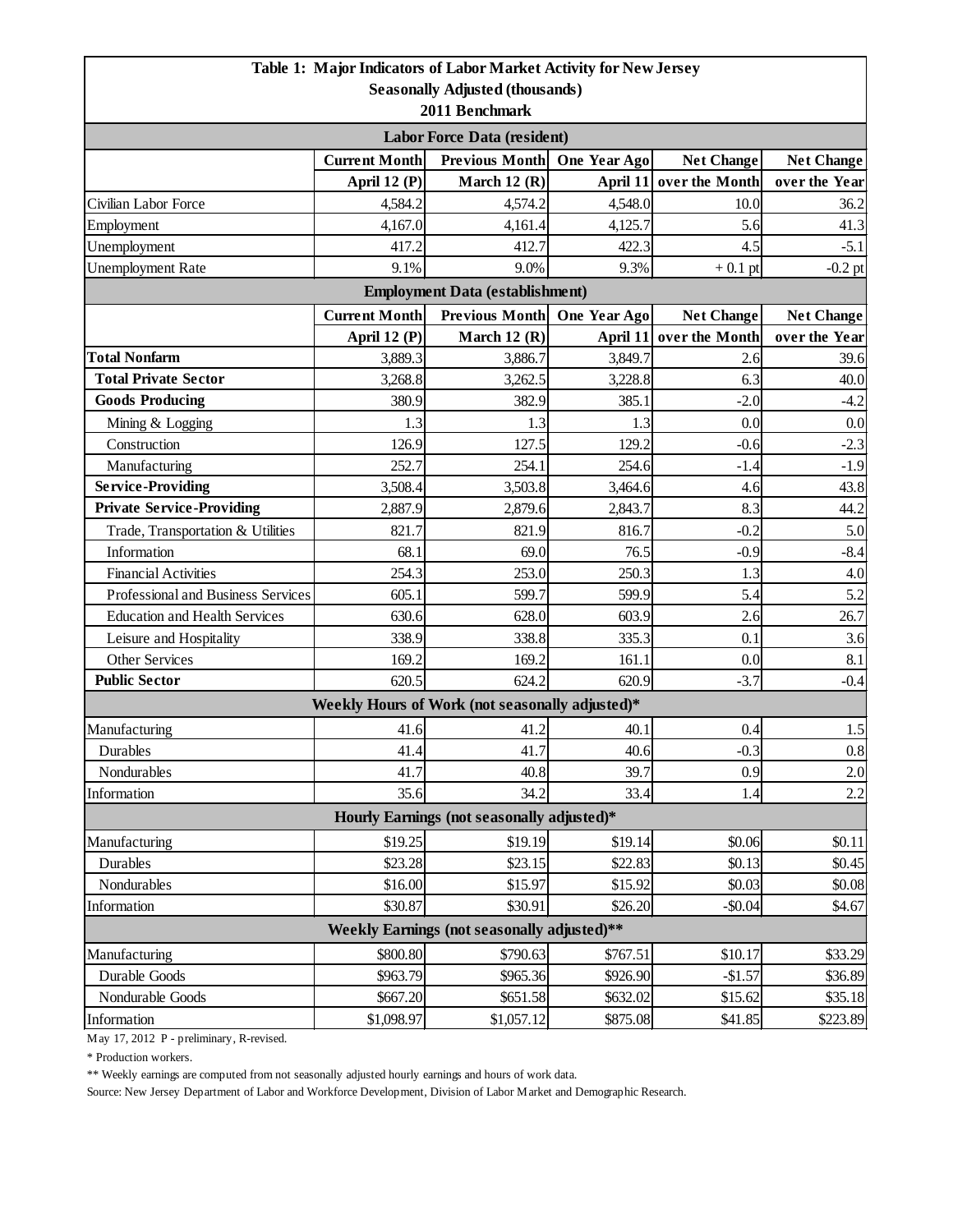|                                                                         |                      | Table 1: Major Indicators of Labor Market Activity for New Jersey |              |                         |                   |  |  |  |
|-------------------------------------------------------------------------|----------------------|-------------------------------------------------------------------|--------------|-------------------------|-------------------|--|--|--|
| <b>Seasonally Adjusted (thousands)</b>                                  |                      |                                                                   |              |                         |                   |  |  |  |
| 2011 Benchmark                                                          |                      |                                                                   |              |                         |                   |  |  |  |
| <b>Labor Force Data (resident)</b>                                      |                      |                                                                   |              |                         |                   |  |  |  |
|                                                                         | <b>Current Month</b> | Previous Month                                                    | One Year Ago | <b>Net Change</b>       | <b>Net Change</b> |  |  |  |
|                                                                         | April 12 (P)         | March 12 $(R)$                                                    |              | April 11 over the Month | over the Year     |  |  |  |
| Civilian Labor Force                                                    | 4,584.2              | 4,574.2                                                           | 4,548.0      | 10.0                    | 36.2              |  |  |  |
| Employment                                                              | 4,167.0              | 4,161.4                                                           | 4,125.7      | 5.6                     | 41.3              |  |  |  |
| Unemployment                                                            | 417.2                | 412.7                                                             | 422.3        | 4.5                     | $-5.1$            |  |  |  |
| <b>Unemployment Rate</b>                                                | 9.1%                 | 9.0%                                                              | 9.3%         | $+0.1$ pt               | $-0.2$ pt         |  |  |  |
| <b>Employment Data (establishment)</b>                                  |                      |                                                                   |              |                         |                   |  |  |  |
|                                                                         | <b>Current Month</b> | <b>Previous Month</b>                                             | One Year Ago | <b>Net Change</b>       | <b>Net Change</b> |  |  |  |
|                                                                         | April 12 (P)         | March 12 $(R)$                                                    | April 11     | over the Month          | over the Year     |  |  |  |
| <b>Total Nonfarm</b>                                                    | 3,889.3              | 3,886.7                                                           | 3,849.7      | 2.6                     | 39.6              |  |  |  |
| <b>Total Private Sector</b>                                             | 3,268.8              | 3,262.5                                                           | 3,228.8      | 6.3                     | 40.0              |  |  |  |
| <b>Goods Producing</b>                                                  | 380.9                | 382.9                                                             | 385.1        | $-2.0$                  | $-4.2$            |  |  |  |
| Mining & Logging                                                        | 1.3                  | 1.3                                                               | 1.3          | 0.0                     | 0.0               |  |  |  |
| Construction                                                            | 126.9                | 127.5                                                             | 129.2        | $-0.6$                  | $-2.3$            |  |  |  |
| Manufacturing                                                           | 252.7                | 254.1                                                             | 254.6        | $-1.4$                  | $-1.9$            |  |  |  |
| <b>Service-Providing</b>                                                | 3,508.4              | 3,503.8                                                           | 3,464.6      | 4.6                     | 43.8              |  |  |  |
| <b>Private Service-Providing</b>                                        | 2,887.9              | 2,879.6                                                           | 2,843.7      | 8.3                     | 44.2              |  |  |  |
| Trade, Transportation & Utilities                                       | 821.7                | 821.9                                                             | 816.7        | $-0.2$                  | 5.0               |  |  |  |
| Information                                                             | 68.1                 | 69.0                                                              | 76.5         | $-0.9$                  | $-8.4$            |  |  |  |
| <b>Financial Activities</b>                                             | 254.3                | 253.0                                                             | 250.3        | 1.3                     | 4.0               |  |  |  |
| Professional and Business Services                                      | 605.1                | 599.7                                                             | 599.9        | 5.4                     | 5.2               |  |  |  |
| <b>Education and Health Services</b>                                    | 630.6                | 628.0                                                             | 603.9        | 2.6                     | 26.7              |  |  |  |
| Leisure and Hospitality                                                 | 338.9                | 338.8                                                             | 335.3        | 0.1                     | 3.6               |  |  |  |
| Other Services                                                          | 169.2                | 169.2                                                             | 161.1        | 0.0                     | 8.1               |  |  |  |
| <b>Public Sector</b>                                                    | 620.5                | 624.2                                                             | 620.9        | $-3.7$                  | $-0.4$            |  |  |  |
|                                                                         |                      | Weekly Hours of Work (not seasonally adjusted)*                   |              |                         |                   |  |  |  |
| Manufacturing                                                           | 41.6                 | 41.2                                                              | 40.1         | 0.4                     | 1.5               |  |  |  |
| Durables                                                                | 41.4                 | 41.7                                                              | 40.6         | $-0.3$                  | 0.8               |  |  |  |
| Nondurables                                                             | 41.7                 | 40.8                                                              | 39.7         | 0.9                     | 2.0               |  |  |  |
| Information                                                             | 35.6                 | 34.2                                                              | 33.4         | 1.4                     | 2.2               |  |  |  |
| Hourly Earnings (not seasonally adjusted)*                              |                      |                                                                   |              |                         |                   |  |  |  |
| Manufacturing                                                           | \$19.25              | \$19.19                                                           | \$19.14      | \$0.06                  | \$0.11            |  |  |  |
| <b>Durables</b>                                                         | \$23.28              | \$23.15                                                           | \$22.83      | \$0.13                  | \$0.45            |  |  |  |
| Nondurables                                                             | \$16.00              | \$15.97                                                           | \$15.92      | \$0.03                  | \$0.08            |  |  |  |
| Information                                                             | \$30.87              | \$30.91                                                           | \$26.20      | $-$0.04$                | \$4.67            |  |  |  |
| Weekly Earnings (not seasonally adjusted)**                             |                      |                                                                   |              |                         |                   |  |  |  |
| \$800.80<br>\$790.63<br>Manufacturing<br>\$10.17<br>\$33.29<br>\$767.51 |                      |                                                                   |              |                         |                   |  |  |  |
| Durable Goods                                                           | \$963.79             | \$965.36                                                          | \$926.90     | $-$1.57$                | \$36.89           |  |  |  |
| Nondurable Goods                                                        | \$667.20             | \$651.58                                                          | \$632.02     | \$15.62                 | \$35.18           |  |  |  |
| Information                                                             | \$1,098.97           | \$1,057.12                                                        | \$875.08     | \$41.85                 | \$223.89          |  |  |  |

May 17, 2012 P - preliminary, R-revised.

\* Production workers.

\*\* Weekly earnings are computed from not seasonally adjusted hourly earnings and hours of work data.

Source: New Jersey Department of Labor and Workforce Development, Division of Labor Market and Demographic Research.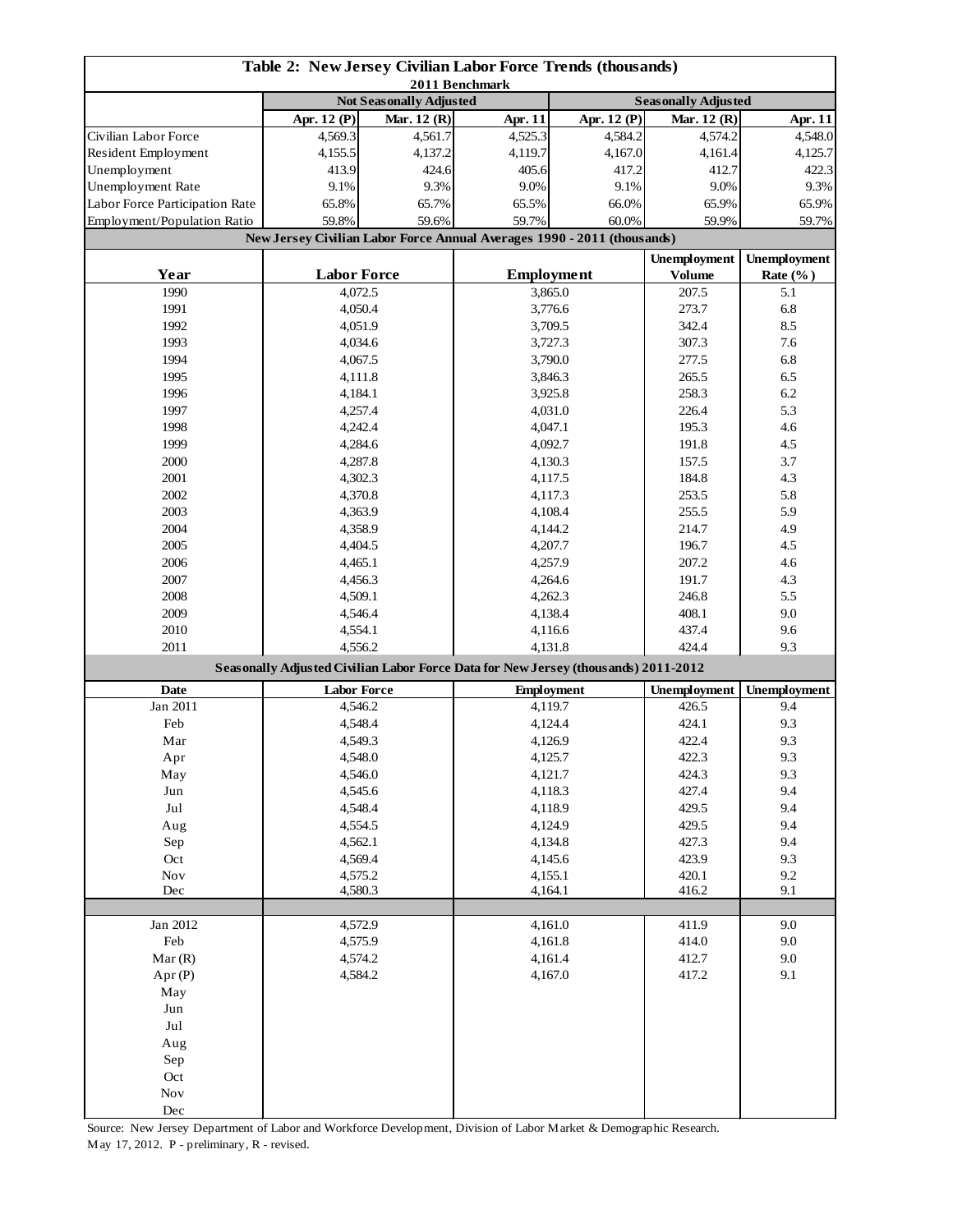| Table 2: New Jersey Civilian Labor Force Trends (thousands)<br>2011 Benchmark |                                                                                    |             |                                                                         |                              |                            |                     |  |
|-------------------------------------------------------------------------------|------------------------------------------------------------------------------------|-------------|-------------------------------------------------------------------------|------------------------------|----------------------------|---------------------|--|
|                                                                               | <b>Not Seasonally Adjusted</b>                                                     |             |                                                                         |                              | <b>Seasonally Adjusted</b> |                     |  |
|                                                                               | Apr. 12 $(P)$                                                                      | Mar. 12 (R) | Apr. 11                                                                 | Apr. 12 (P)                  | Mar. $12(R)$               | Apr. 11             |  |
| Civilian Labor Force                                                          | 4,569.3                                                                            | 4,561.7     | 4,525.3                                                                 | 4,584.2                      | 4,574.2                    | 4,548.0             |  |
| Resident Employment                                                           | 4,155.5                                                                            | 4,137.2     | 4,119.7                                                                 | 4,167.0                      | 4,161.4                    | 4,125.7             |  |
| Unemployment                                                                  | 413.9                                                                              | 424.6       | 405.6                                                                   | 417.2                        | 412.7                      | 422.3               |  |
| Unemployment Rate                                                             | 9.1%                                                                               | 9.3%        | 9.0%                                                                    | 9.1%                         | 9.0%                       | 9.3%                |  |
| Labor Force Participation Rate                                                | 65.8%                                                                              | 65.7%       | 65.5%                                                                   | 66.0%                        | 65.9%                      | 65.9%               |  |
| Employment/Population Ratio                                                   | 59.8%                                                                              | 59.6%       | 59.7%                                                                   | 60.0%                        | 59.9%                      | 59.7%               |  |
|                                                                               |                                                                                    |             | New Jersey Civilian Labor Force Annual Averages 1990 - 2011 (thousands) |                              |                            |                     |  |
|                                                                               |                                                                                    |             |                                                                         |                              | <b>Unemployment</b>        | <b>Unemployment</b> |  |
| Year                                                                          | <b>Labor Force</b>                                                                 |             |                                                                         |                              | <b>Volume</b>              | Rate $(\%$ )        |  |
| 1990                                                                          | 4,072.5                                                                            |             | <b>Employment</b><br>3,865.0                                            |                              | 207.5                      | 5.1                 |  |
| 1991                                                                          | 4,050.4                                                                            |             | 3,776.6                                                                 |                              | 273.7                      | 6.8                 |  |
| 1992                                                                          | 4,051.9                                                                            |             |                                                                         |                              | 342.4                      | 8.5                 |  |
| 1993                                                                          | 4,034.6                                                                            |             | 3,709.5                                                                 |                              | 307.3                      | 7.6                 |  |
| 1994                                                                          | 4,067.5                                                                            |             |                                                                         | 3,727.3<br>3,790.0           |                            |                     |  |
|                                                                               |                                                                                    |             |                                                                         |                              | 277.5                      | 6.8                 |  |
| 1995                                                                          | 4,111.8                                                                            |             |                                                                         | 3,846.3                      | 265.5                      | 6.5                 |  |
| 1996                                                                          | 4,184.1                                                                            |             |                                                                         | 3,925.8                      | 258.3                      | 6.2                 |  |
| 1997                                                                          | 4,257.4                                                                            |             |                                                                         | 4,031.0                      | 226.4                      | 5.3                 |  |
| 1998                                                                          | 4,242.4                                                                            |             | 4,047.1                                                                 |                              | 195.3                      | 4.6                 |  |
| 1999                                                                          | 4,284.6                                                                            |             |                                                                         | 4,092.7                      | 191.8                      | 4.5                 |  |
| 2000                                                                          | 4,287.8                                                                            |             |                                                                         | 4,130.3                      | 157.5                      | 3.7                 |  |
| 2001                                                                          | 4,302.3                                                                            |             |                                                                         | 4,117.5                      | 184.8                      | 4.3                 |  |
| 2002                                                                          | 4,370.8                                                                            |             |                                                                         | 4,117.3                      | 253.5                      | 5.8                 |  |
| 2003                                                                          | 4,363.9                                                                            |             |                                                                         | 4,108.4                      | 255.5<br>214.7             | 5.9                 |  |
| 2004                                                                          | 4,358.9                                                                            |             |                                                                         | 4,144.2                      |                            | 4.9                 |  |
| 2005                                                                          | 4,404.5                                                                            |             | 4,207.7                                                                 |                              | 196.7                      | 4.5                 |  |
| 2006                                                                          | 4,465.1                                                                            |             | 4,257.9                                                                 |                              | 207.2                      | 4.6                 |  |
| 2007                                                                          | 4,456.3                                                                            |             | 4,264.6                                                                 |                              | 191.7                      | 4.3                 |  |
| 2008                                                                          | 4,509.1                                                                            |             | 4,262.3                                                                 |                              | 246.8                      | 5.5                 |  |
| 2009                                                                          | 4,546.4                                                                            |             | 4,138.4                                                                 |                              | 408.1                      | 9.0                 |  |
| 2010                                                                          | 4,554.1                                                                            |             | 4,116.6                                                                 |                              | 437.4                      | 9.6                 |  |
| 2011                                                                          | 4,556.2                                                                            |             | 4,131.8                                                                 |                              | 424.4                      | 9.3                 |  |
|                                                                               | Seasonally Adjusted Civilian Labor Force Data for New Jersey (thousands) 2011-2012 |             |                                                                         |                              |                            |                     |  |
| <b>Date</b>                                                                   | <b>Labor Force</b>                                                                 |             |                                                                         |                              | <b>Unemployment</b>        | Unemployment        |  |
| Jan 2011                                                                      | 4,546.2                                                                            |             |                                                                         | <b>Employment</b><br>4,119.7 |                            | 9.4                 |  |
| Feb                                                                           | 4,548.4                                                                            |             | 4,124.4                                                                 |                              | 426.5<br>424.1             | 9.3                 |  |
| Mar                                                                           |                                                                                    |             | 4,126.9                                                                 |                              | 422.4                      | 9.3                 |  |
|                                                                               | 4,549.3                                                                            |             |                                                                         | 4,125.7                      |                            | 9.3                 |  |
| Apr                                                                           | 4,548.0                                                                            |             |                                                                         |                              | 422.3                      |                     |  |
| May                                                                           | 4,546.0                                                                            |             | 4,121.7                                                                 |                              | 424.3                      | 9.3                 |  |
| $_{\rm Jun}$                                                                  | 4,545.6                                                                            |             | 4,118.3                                                                 |                              | 427.4                      | 9.4                 |  |
| Jul                                                                           | 4,548.4                                                                            |             | 4,118.9                                                                 |                              | 429.5                      | 9.4                 |  |
| Aug                                                                           | 4,554.5                                                                            |             | 4,124.9                                                                 |                              | 429.5                      | 9.4                 |  |
| Sep                                                                           | 4,562.1                                                                            |             | 4,134.8                                                                 |                              | 427.3                      | 9.4                 |  |
| Oct                                                                           | 4,569.4                                                                            |             | 4,145.6                                                                 |                              | 423.9                      | 9.3                 |  |
| $\operatorname{Nov}$                                                          | 4,575.2                                                                            |             | 4,155.1                                                                 |                              | 420.1                      | 9.2                 |  |
| Dec                                                                           | 4,580.3                                                                            |             | 4,164.1                                                                 |                              | 416.2                      | 9.1                 |  |
| Jan 2012                                                                      | 4,572.9                                                                            |             |                                                                         | 4,161.0                      | 411.9                      | 9.0                 |  |
| Feb                                                                           |                                                                                    |             |                                                                         |                              | 414.0                      | 9.0                 |  |
|                                                                               | 4,575.9                                                                            |             | 4,161.8                                                                 |                              |                            |                     |  |
| Mar(R)                                                                        | 4,574.2                                                                            |             | 4,161.4<br>4,167.0                                                      |                              | 412.7                      | 9.0                 |  |
| Apr(P)                                                                        | 4,584.2                                                                            |             |                                                                         |                              | 417.2                      | 9.1                 |  |
| May                                                                           |                                                                                    |             |                                                                         |                              |                            |                     |  |
| Jun                                                                           |                                                                                    |             |                                                                         |                              |                            |                     |  |
| $_{\rm{Jul}}$                                                                 |                                                                                    |             |                                                                         |                              |                            |                     |  |
| Aug                                                                           |                                                                                    |             |                                                                         |                              |                            |                     |  |
| Sep                                                                           |                                                                                    |             |                                                                         |                              |                            |                     |  |
| Oct                                                                           |                                                                                    |             |                                                                         |                              |                            |                     |  |
| $\operatorname{Nov}$                                                          |                                                                                    |             |                                                                         |                              |                            |                     |  |
| Dec                                                                           |                                                                                    |             |                                                                         |                              |                            |                     |  |

Source: New Jersey Department of Labor and Workforce Development, Division of Labor Market & Demographic Research. May 17, 2012. P - preliminary, R - revised.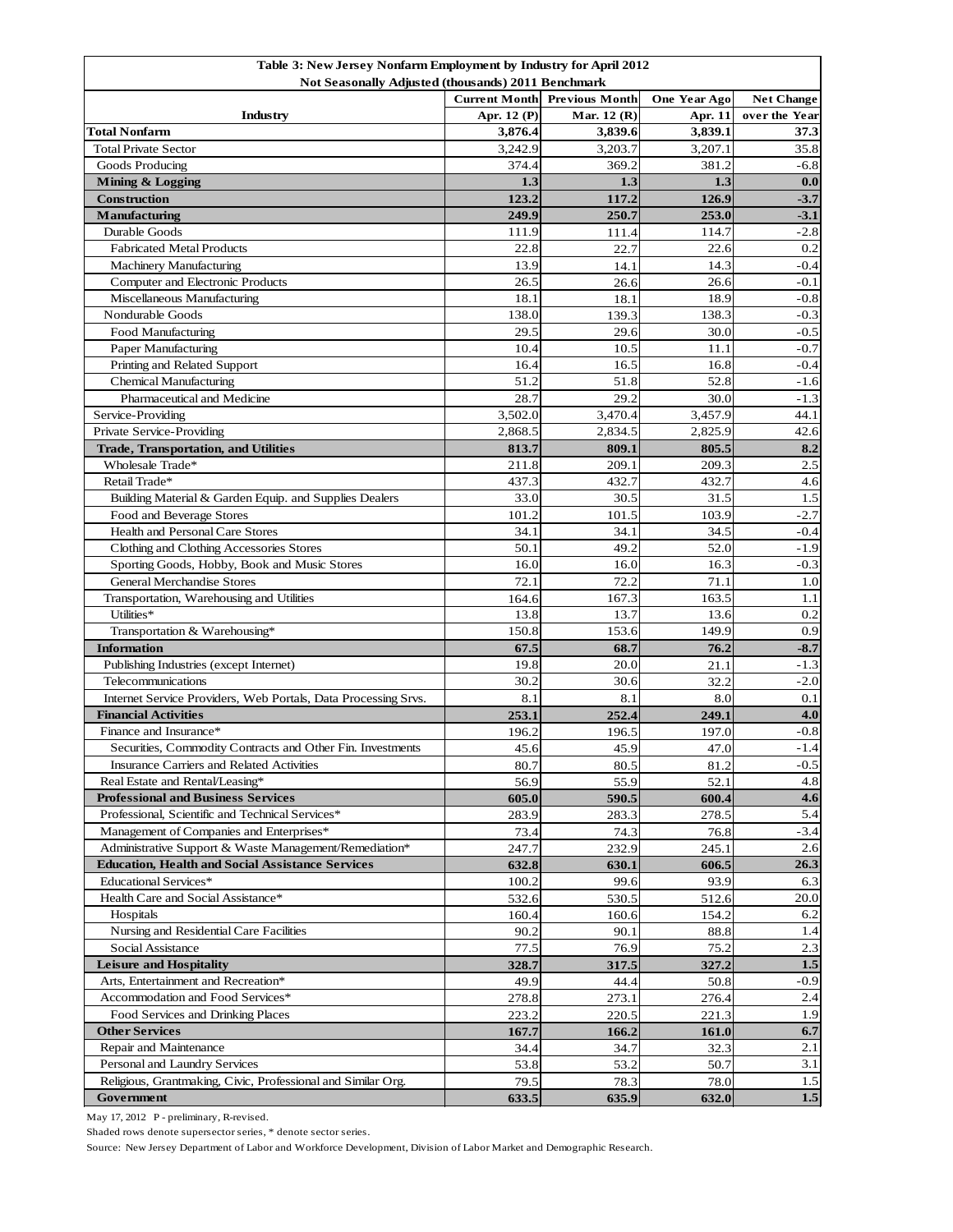| Table 3: New Jersey Nonfarm Employment by Industry for April 2012<br>Not Seasonally Adjusted (thousands) 2011 Benchmark |                                                                          |             |              |               |  |  |  |
|-------------------------------------------------------------------------------------------------------------------------|--------------------------------------------------------------------------|-------------|--------------|---------------|--|--|--|
|                                                                                                                         | <b>Current Month</b> Previous Month<br>One Year Ago<br><b>Net Change</b> |             |              |               |  |  |  |
| Industry                                                                                                                | Apr. 12 (P)                                                              | Mar. 12 (R) | Apr. 11      | over the Year |  |  |  |
| <b>Total Nonfarm</b>                                                                                                    | 3,876.4                                                                  | 3,839.6     | 3,839.1      | 37.3          |  |  |  |
| <b>Total Private Sector</b>                                                                                             | 3,242.9                                                                  | 3,203.7     | 3,207.1      | 35.8          |  |  |  |
| Goods Producing                                                                                                         | 374.4                                                                    | 369.2       | 381.2        | $-6.8$        |  |  |  |
| Mining & Logging                                                                                                        | 1.3                                                                      | 1.3         | 1.3          | 0.0           |  |  |  |
| <b>Construction</b>                                                                                                     | 123.2                                                                    | 117.2       | 126.9        | $-3.7$        |  |  |  |
| Manufacturing                                                                                                           | 249.9                                                                    | 250.7       | 253.0        | $-3.1$        |  |  |  |
| Durable Goods                                                                                                           | 111.9                                                                    | 111.4       | 114.7        | $-2.8$        |  |  |  |
| <b>Fabricated Metal Products</b>                                                                                        | 22.8                                                                     | 22.7        | 22.6         | 0.2           |  |  |  |
| <b>Machinery Manufacturing</b>                                                                                          | 13.9                                                                     | 14.1        | 14.3         | $-0.4$        |  |  |  |
| Computer and Electronic Products                                                                                        | 26.5                                                                     | 26.6        | 26.6         | $-0.1$        |  |  |  |
| Miscellaneous Manufacturing                                                                                             | 18.1                                                                     | 18.1        | 18.9         | $-0.8$        |  |  |  |
| Nondurable Goods                                                                                                        | 138.0                                                                    | 139.3       | 138.3        | $-0.3$        |  |  |  |
| Food Manufacturing                                                                                                      | 29.5                                                                     | 29.6        | 30.0         | $-0.5$        |  |  |  |
| Paper Manufacturing                                                                                                     | 10.4                                                                     | 10.5        | 11.1         | $-0.7$        |  |  |  |
| Printing and Related Support                                                                                            | 16.4                                                                     | 16.5        | 16.8         | $-0.4$        |  |  |  |
| <b>Chemical Manufacturing</b>                                                                                           | 51.2                                                                     | 51.8        | 52.8         | $-1.6$        |  |  |  |
| Pharmaceutical and Medicine                                                                                             | 28.7                                                                     | 29.2        | 30.0         | $-1.3$        |  |  |  |
| Service-Providing                                                                                                       | 3,502.0                                                                  | 3,470.4     | 3.457.9      | 44.1          |  |  |  |
| Private Service-Providing                                                                                               | 2,868.5                                                                  | 2,834.5     | 2,825.9      | 42.6          |  |  |  |
| <b>Trade, Transportation, and Utilities</b>                                                                             | 813.7                                                                    | 809.1       | 805.5        | 8.2           |  |  |  |
| Wholesale Trade*                                                                                                        | 211.8                                                                    | 209.1       | 209.3        | 2.5           |  |  |  |
| Retail Trade*                                                                                                           | 437.3                                                                    | 432.7       | 432.7        | 4.6           |  |  |  |
| Building Material & Garden Equip. and Supplies Dealers                                                                  | 33.0                                                                     | 30.5        | 31.5         | 1.5           |  |  |  |
| Food and Beverage Stores                                                                                                | 101.2                                                                    | 101.5       | 103.9        | $-2.7$        |  |  |  |
| Health and Personal Care Stores                                                                                         | 34.1                                                                     | 34.1        | 34.5         | $-0.4$        |  |  |  |
| Clothing and Clothing Accessories Stores                                                                                | 50.1                                                                     | 49.2        | 52.0         | $-1.9$        |  |  |  |
| Sporting Goods, Hobby, Book and Music Stores                                                                            | 16.0                                                                     | 16.0        | 16.3         | $-0.3$        |  |  |  |
| <b>General Merchandise Stores</b>                                                                                       | 72.1                                                                     | 72.2        | 71.1         | 1.0           |  |  |  |
| Transportation, Warehousing and Utilities                                                                               | 164.6                                                                    | 167.3       | 163.5        | 1.1           |  |  |  |
| Utilities*                                                                                                              | 13.8                                                                     | 13.7        | 13.6         | 0.2           |  |  |  |
| Transportation & Warehousing*                                                                                           | 150.8                                                                    | 153.6       | 149.9        | 0.9           |  |  |  |
| <b>Information</b>                                                                                                      | 67.5                                                                     | 68.7        | 76.2         | $-8.7$        |  |  |  |
| Publishing Industries (except Internet)                                                                                 | 19.8                                                                     | 20.0        | 21.1         | $-1.3$        |  |  |  |
| Telecommunications                                                                                                      | 30.2                                                                     | 30.6        | 32.2         | $-2.0$        |  |  |  |
| Internet Service Providers, Web Portals, Data Processing Srvs.                                                          | 8.1                                                                      | 8.1         | 8.0          | 0.1           |  |  |  |
| <b>Financial Activities</b>                                                                                             | 253.1                                                                    | 252.4       | 249.1        | 4.0           |  |  |  |
| Finance and Insurance*                                                                                                  | 196.2                                                                    | 196.5       | 197.0        | $-0.8$        |  |  |  |
| Securities, Commodity Contracts and Other Fin. Investments                                                              | 45.6                                                                     | 45.9        | 47.0         | $-1.4$        |  |  |  |
| Insurance Carriers and Related Activities                                                                               | 80.7                                                                     | 80.5        | 81.2         | $-0.5$        |  |  |  |
| Real Estate and Rental/Leasing*                                                                                         | 56.9                                                                     | 55.9        | 52.1         | 4.8           |  |  |  |
| <b>Professional and Business Services</b>                                                                               | 605.0                                                                    | 590.5       | 600.4        | 4.6           |  |  |  |
| Professional, Scientific and Technical Services*                                                                        | 283.9                                                                    | 283.3       | 278.5        | 5.4           |  |  |  |
| Management of Companies and Enterprises*                                                                                | 73.4                                                                     | 74.3        | 76.8         | $-3.4$        |  |  |  |
| Administrative Support & Waste Management/Remediation*                                                                  | 247.7                                                                    | 232.9       | 245.1        | 2.6           |  |  |  |
| <b>Education, Health and Social Assistance Services</b>                                                                 | 632.8                                                                    | 630.1       | 606.5        | 26.3          |  |  |  |
| Educational Services*                                                                                                   | 100.2                                                                    | 99.6        | 93.9         | 6.3           |  |  |  |
| Health Care and Social Assistance*                                                                                      | 532.6                                                                    | 530.5       | 512.6        | 20.0          |  |  |  |
| Hospitals                                                                                                               | 160.4                                                                    | 160.6       | 154.2        | 6.2           |  |  |  |
| Nursing and Residential Care Facilities                                                                                 | 90.2                                                                     | 90.1        | 88.8         | 1.4           |  |  |  |
| Social Assistance                                                                                                       | 77.5                                                                     | 76.9        | 75.2         | 2.3           |  |  |  |
| <b>Leisure and Hospitality</b>                                                                                          | 328.7                                                                    | 317.5       | 327.2        | 1.5           |  |  |  |
| Arts, Entertainment and Recreation*                                                                                     | 49.9                                                                     | 44.4        | 50.8         | $-0.9$        |  |  |  |
| Accommodation and Food Services*                                                                                        | 278.8                                                                    | 273.1       | 276.4        | 2.4           |  |  |  |
| Food Services and Drinking Places                                                                                       | 223.2                                                                    | 220.5       | 221.3        | 1.9           |  |  |  |
| <b>Other Services</b>                                                                                                   | 167.7                                                                    | 166.2       | <b>161.0</b> | 6.7           |  |  |  |
| Repair and Maintenance                                                                                                  | 34.4                                                                     | 34.7        | 32.3         | 2.1           |  |  |  |
| Personal and Laundry Services                                                                                           | 53.8                                                                     | 53.2        | 50.7         | 3.1           |  |  |  |
| Religious, Grantmaking, Civic, Professional and Similar Org.                                                            | 79.5                                                                     | 78.3        | 78.0         | $1.5$         |  |  |  |
| Government                                                                                                              | 633.5                                                                    | 635.9       | 632.0        | 1.5           |  |  |  |

May 17, 2012 P - preliminary, R-revised.

Shaded rows denote supersector series, \* denote sector series.

Source: New Jersey Department of Labor and Workforce Development, Division of Labor Market and Demographic Research.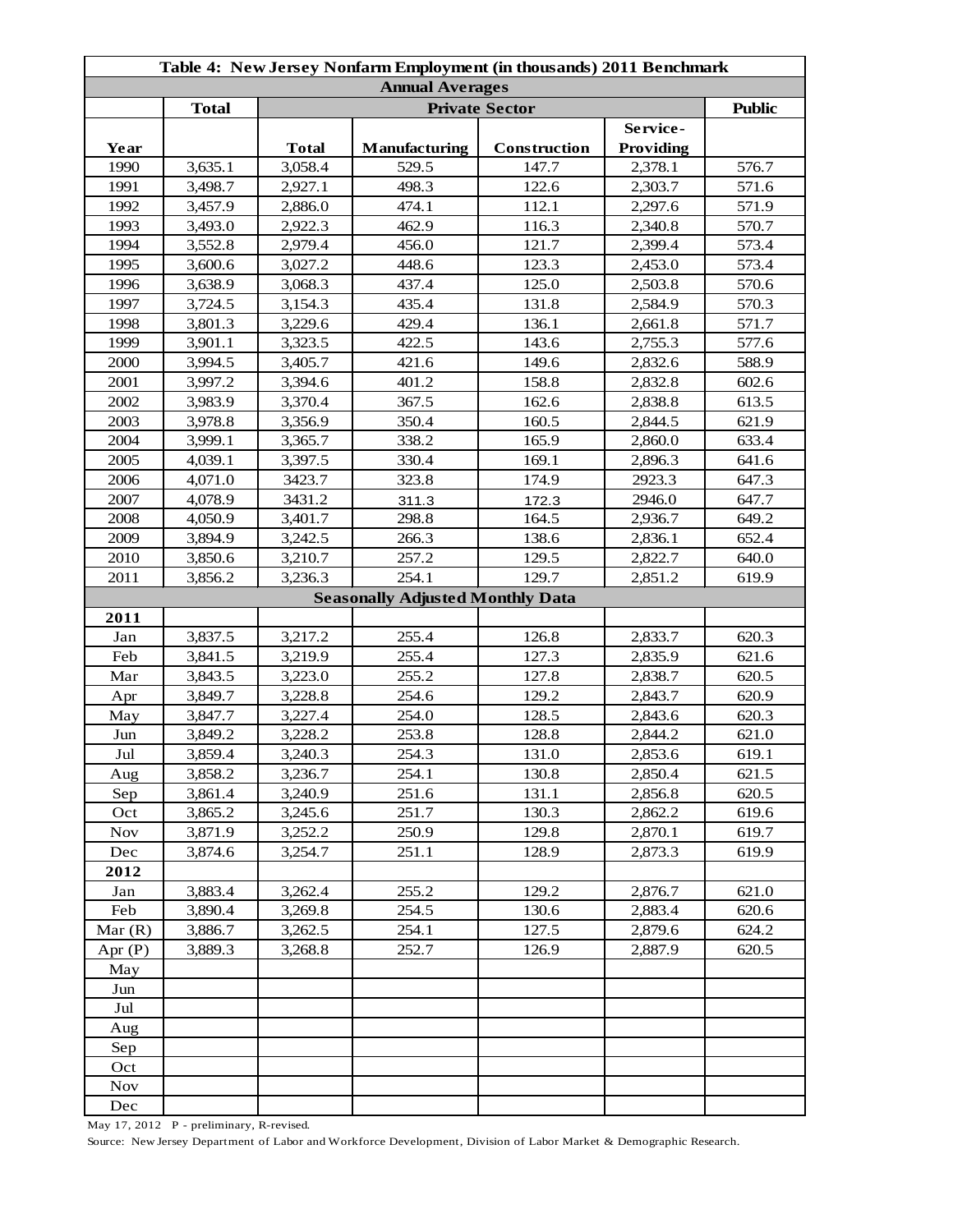| Table 4: New Jersey Nonfarm Employment (in thousands) 2011 Benchmark |              |              |                                         |              |           |       |  |
|----------------------------------------------------------------------|--------------|--------------|-----------------------------------------|--------------|-----------|-------|--|
| <b>Annual Averages</b><br><b>Private Sector</b>                      |              |              |                                         |              |           |       |  |
|                                                                      | <b>Total</b> |              | <b>Public</b>                           |              |           |       |  |
|                                                                      |              |              |                                         |              | Service-  |       |  |
| Year                                                                 |              | <b>Total</b> | <b>Manufacturing</b>                    | Construction | Providing |       |  |
| 1990                                                                 | 3,635.1      | 3,058.4      | 529.5                                   | 147.7        | 2,378.1   | 576.7 |  |
| 1991                                                                 | 3,498.7      | 2,927.1      | 498.3                                   | 122.6        | 2,303.7   | 571.6 |  |
| 1992                                                                 | 3,457.9      | 2,886.0      | 474.1                                   | 112.1        | 2,297.6   | 571.9 |  |
| 1993                                                                 | 3,493.0      | 2,922.3      | 462.9                                   | 116.3        | 2,340.8   | 570.7 |  |
| 1994                                                                 | 3,552.8      | 2,979.4      | 456.0                                   | 121.7        | 2,399.4   | 573.4 |  |
| 1995                                                                 | 3,600.6      | 3,027.2      | 448.6                                   | 123.3        | 2,453.0   | 573.4 |  |
| 1996                                                                 | 3,638.9      | 3,068.3      | 437.4                                   | 125.0        | 2,503.8   | 570.6 |  |
| 1997                                                                 | 3,724.5      | 3,154.3      | 435.4                                   | 131.8        | 2,584.9   | 570.3 |  |
| 1998                                                                 | 3,801.3      | 3,229.6      | 429.4                                   | 136.1        | 2,661.8   | 571.7 |  |
| 1999                                                                 | 3,901.1      | 3,323.5      | 422.5                                   | 143.6        | 2,755.3   | 577.6 |  |
| 2000                                                                 | 3,994.5      | 3,405.7      | 421.6                                   | 149.6        | 2,832.6   | 588.9 |  |
| 2001                                                                 | 3,997.2      | 3,394.6      | 401.2                                   | 158.8        | 2,832.8   | 602.6 |  |
| 2002                                                                 | 3,983.9      | 3,370.4      | 367.5                                   | 162.6        | 2,838.8   | 613.5 |  |
| 2003                                                                 | 3,978.8      | 3,356.9      | 350.4                                   | 160.5        | 2,844.5   | 621.9 |  |
| 2004                                                                 | 3,999.1      | 3,365.7      | 338.2                                   | 165.9        | 2,860.0   | 633.4 |  |
| 2005                                                                 | 4,039.1      | 3,397.5      | 330.4                                   | 169.1        | 2,896.3   | 641.6 |  |
| 2006                                                                 | 4,071.0      | 3423.7       | 323.8                                   | 174.9        | 2923.3    | 647.3 |  |
| 2007                                                                 | 4,078.9      | 3431.2       | 311.3                                   | 172.3        | 2946.0    | 647.7 |  |
| 2008                                                                 | 4,050.9      | 3,401.7      | 298.8                                   | 164.5        | 2,936.7   | 649.2 |  |
| 2009                                                                 | 3,894.9      | 3,242.5      | 266.3                                   | 138.6        | 2,836.1   | 652.4 |  |
| 2010                                                                 | 3,850.6      | 3,210.7      | 257.2                                   | 129.5        | 2,822.7   | 640.0 |  |
| 2011                                                                 | 3,856.2      | 3,236.3      | 254.1                                   | 129.7        | 2,851.2   | 619.9 |  |
|                                                                      |              |              | <b>Seasonally Adjusted Monthly Data</b> |              |           |       |  |
| 2011                                                                 |              |              |                                         |              |           |       |  |
| Jan                                                                  | 3,837.5      | 3,217.2      | 255.4                                   | 126.8        | 2,833.7   | 620.3 |  |
| Feb                                                                  | 3,841.5      | 3,219.9      | 255.4                                   | 127.3        | 2,835.9   | 621.6 |  |
| Mar                                                                  | 3,843.5      | 3,223.0      | 255.2                                   | 127.8        | 2,838.7   | 620.5 |  |
| Apr                                                                  | 3,849.7      | 3,228.8      | 254.6                                   | 129.2        | 2,843.7   | 620.9 |  |
| May                                                                  | 3,847.7      | 3,227.4      | 254.0                                   | 128.5        | 2,843.6   | 620.3 |  |
| Jun                                                                  | 3,849.2      | 3,228.2      | 253.8                                   | 128.8        | 2,844.2   | 621.0 |  |
| Jul                                                                  | 3,859.4      | 3,240.3      | 254.3                                   | 131.0        | 2,853.6   | 619.1 |  |
| Aug                                                                  | 3,858.2      | 3,236.7      | 254.1                                   | 130.8        | 2,850.4   | 621.5 |  |
| Sep                                                                  | 3,861.4      | 3,240.9      | 251.6                                   | 131.1        | 2,856.8   | 620.5 |  |
| Oct                                                                  | 3,865.2      | 3,245.6      | 251.7                                   | 130.3        | 2,862.2   | 619.6 |  |
| <b>Nov</b>                                                           | 3,871.9      | 3,252.2      | 250.9                                   | 129.8        | 2,870.1   | 619.7 |  |
| Dec                                                                  | 3,874.6      | 3,254.7      | 251.1                                   | 128.9        | 2,873.3   | 619.9 |  |
| 2012                                                                 |              |              |                                         |              |           |       |  |
| Jan                                                                  | 3,883.4      | 3,262.4      | 255.2                                   | 129.2        | 2,876.7   | 621.0 |  |
| Feb                                                                  | 3,890.4      | 3,269.8      | 254.5                                   | 130.6        | 2,883.4   | 620.6 |  |
| Mar $(R)$                                                            | 3,886.7      | 3,262.5      | 254.1                                   | 127.5        | 2,879.6   | 624.2 |  |
| Apr $(P)$                                                            | 3,889.3      | 3,268.8      | 252.7                                   | 126.9        | 2,887.9   | 620.5 |  |
| May                                                                  |              |              |                                         |              |           |       |  |
| Jun                                                                  |              |              |                                         |              |           |       |  |
| Jul                                                                  |              |              |                                         |              |           |       |  |
| Aug                                                                  |              |              |                                         |              |           |       |  |
| Sep                                                                  |              |              |                                         |              |           |       |  |
| Oct                                                                  |              |              |                                         |              |           |       |  |
| <b>Nov</b>                                                           |              |              |                                         |              |           |       |  |
| Dec                                                                  |              |              |                                         |              |           |       |  |

May 17, 2012 P - preliminary, R-revised.

Source: New Jersey Department of Labor and Workforce Development, Division of Labor Market & Demographic Research.